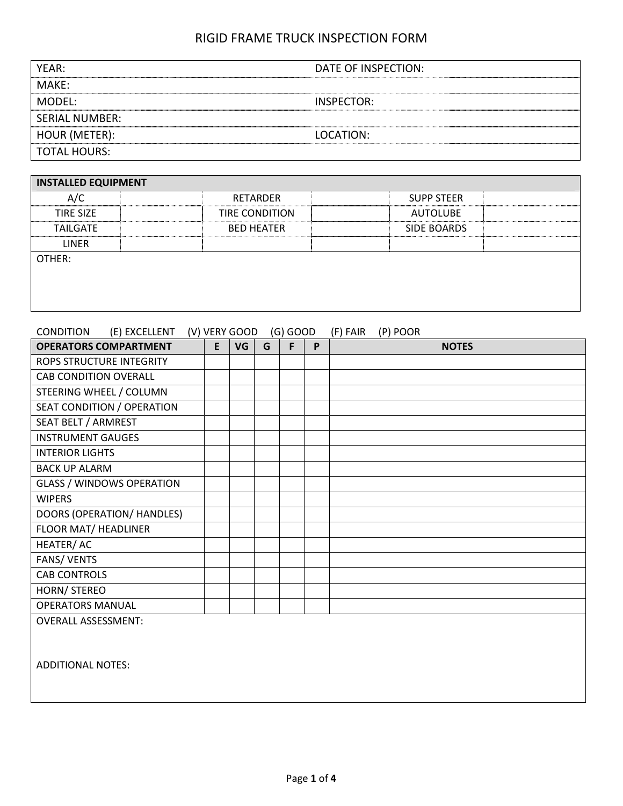| YEAR:<br>DATE OF INSPECTION:<br>MAKF:<br>MODFL:<br>INSPECTOR:<br><b>SERIAL NUMBER:</b><br>LOCATION:<br><b>TOTAL HOURS:</b> |               |  |
|----------------------------------------------------------------------------------------------------------------------------|---------------|--|
|                                                                                                                            |               |  |
|                                                                                                                            |               |  |
|                                                                                                                            |               |  |
|                                                                                                                            |               |  |
|                                                                                                                            | HOUR (METER): |  |
|                                                                                                                            |               |  |

| <b>INSTALLED EQUIPMENT</b> |                       |                    |  |
|----------------------------|-----------------------|--------------------|--|
| A/C                        | RETARDER              | <b>SUPP STEER</b>  |  |
| <b>TIRE SIZE</b>           | <b>TIRE CONDITION</b> | <b>AUTOLUBE</b>    |  |
| <b>TAILGATE</b>            | <b>BED HEATER</b>     | <b>SIDE BOARDS</b> |  |
| <b>LINER</b>               |                       |                    |  |
| OTHER:                     |                       |                    |  |
|                            |                       |                    |  |
|                            |                       |                    |  |
|                            |                       |                    |  |

| CONDITION                       | (E) EXCELLENT (V) VERY GOOD      |   |           |   | $(G)$ GOOD |   | (F) FAIR | (P) POOR |              |
|---------------------------------|----------------------------------|---|-----------|---|------------|---|----------|----------|--------------|
|                                 | <b>OPERATORS COMPARTMENT</b>     | E | <b>VG</b> | G | F          | P |          |          | <b>NOTES</b> |
| <b>ROPS STRUCTURE INTEGRITY</b> |                                  |   |           |   |            |   |          |          |              |
| <b>CAB CONDITION OVERALL</b>    |                                  |   |           |   |            |   |          |          |              |
| STEERING WHEEL / COLUMN         |                                  |   |           |   |            |   |          |          |              |
|                                 | SEAT CONDITION / OPERATION       |   |           |   |            |   |          |          |              |
| SEAT BELT / ARMREST             |                                  |   |           |   |            |   |          |          |              |
| <b>INSTRUMENT GAUGES</b>        |                                  |   |           |   |            |   |          |          |              |
| <b>INTERIOR LIGHTS</b>          |                                  |   |           |   |            |   |          |          |              |
| <b>BACK UP ALARM</b>            |                                  |   |           |   |            |   |          |          |              |
|                                 | <b>GLASS / WINDOWS OPERATION</b> |   |           |   |            |   |          |          |              |
| <b>WIPERS</b>                   |                                  |   |           |   |            |   |          |          |              |
|                                 | DOORS (OPERATION/ HANDLES)       |   |           |   |            |   |          |          |              |
| FLOOR MAT/ HEADLINER            |                                  |   |           |   |            |   |          |          |              |
| HEATER/AC                       |                                  |   |           |   |            |   |          |          |              |
| FANS/VENTS                      |                                  |   |           |   |            |   |          |          |              |
| <b>CAB CONTROLS</b>             |                                  |   |           |   |            |   |          |          |              |
| HORN/ STEREO                    |                                  |   |           |   |            |   |          |          |              |
| <b>OPERATORS MANUAL</b>         |                                  |   |           |   |            |   |          |          |              |
| <b>OVERALL ASSESSMENT:</b>      |                                  |   |           |   |            |   |          |          |              |
|                                 |                                  |   |           |   |            |   |          |          |              |
|                                 |                                  |   |           |   |            |   |          |          |              |
| <b>ADDITIONAL NOTES:</b>        |                                  |   |           |   |            |   |          |          |              |
|                                 |                                  |   |           |   |            |   |          |          |              |
|                                 |                                  |   |           |   |            |   |          |          |              |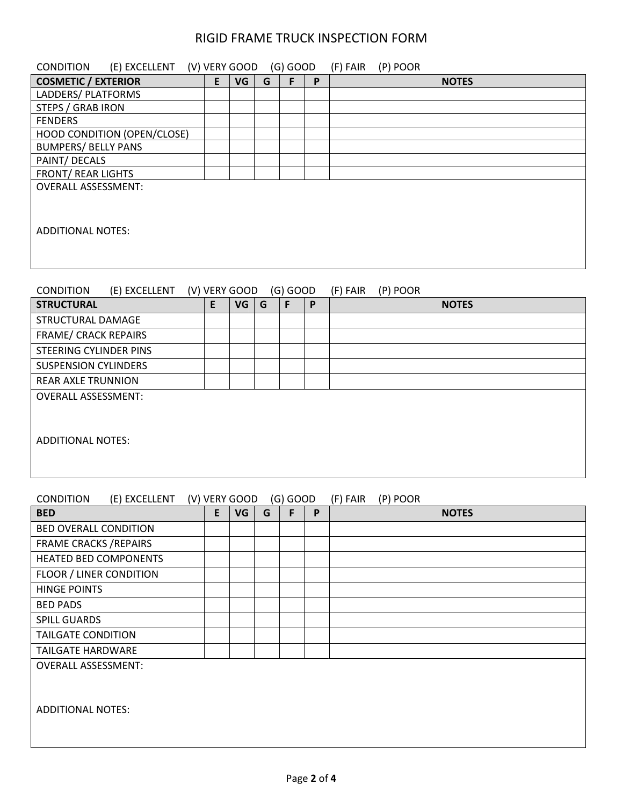| CONDITION                                                          |               |    |   |            |              |                                      |  |  |  |
|--------------------------------------------------------------------|---------------|----|---|------------|--------------|--------------------------------------|--|--|--|
| (E) EXCELLENT (V) VERY GOOD (G) GOOD<br><b>COSMETIC / EXTERIOR</b> | E             | VG | G | F          | P            | (F) FAIR<br>(P) POOR<br><b>NOTES</b> |  |  |  |
| LADDERS/ PLATFORMS                                                 |               |    |   |            |              |                                      |  |  |  |
| <b>STEPS / GRAB IRON</b>                                           |               |    |   |            |              |                                      |  |  |  |
| <b>FENDERS</b>                                                     |               |    |   |            |              |                                      |  |  |  |
| HOOD CONDITION (OPEN/CLOSE)                                        |               |    |   |            |              |                                      |  |  |  |
| <b>BUMPERS/ BELLY PANS</b>                                         |               |    |   |            |              |                                      |  |  |  |
| PAINT/ DECALS                                                      |               |    |   |            |              |                                      |  |  |  |
| <b>FRONT/ REAR LIGHTS</b>                                          |               |    |   |            |              |                                      |  |  |  |
| <b>OVERALL ASSESSMENT:</b><br><b>ADDITIONAL NOTES:</b>             |               |    |   |            |              |                                      |  |  |  |
| <b>CONDITION</b><br>(E) EXCELLENT                                  | (V) VERY GOOD |    |   | $(G)$ GOOD |              | (P) POOR<br>(F) FAIR                 |  |  |  |
| <b>STRUCTURAL</b>                                                  | E             | VG | G | F          | $\mathsf{P}$ | <b>NOTES</b>                         |  |  |  |
| STRUCTURAL DAMAGE                                                  |               |    |   |            |              |                                      |  |  |  |
| <b>FRAME/ CRACK REPAIRS</b>                                        |               |    |   |            |              |                                      |  |  |  |
| <b>STEERING CYLINDER PINS</b>                                      |               |    |   |            |              |                                      |  |  |  |
| <b>SUSPENSION CYLINDERS</b>                                        |               |    |   |            |              |                                      |  |  |  |
| <b>REAR AXLE TRUNNION</b>                                          |               |    |   |            |              |                                      |  |  |  |
| <b>OVERALL ASSESSMENT:</b>                                         |               |    |   |            |              |                                      |  |  |  |
| <b>ADDITIONAL NOTES:</b>                                           |               |    |   |            |              |                                      |  |  |  |
| <b>CONDITION</b><br>(E) EXCELLENT                                  | (V) VERY GOOD |    |   | $(G)$ GOOD |              | (F) FAIR<br>(P) POOR                 |  |  |  |
| <b>BED</b>                                                         | E             | VG | G | F          | P            | <b>NOTES</b>                         |  |  |  |
| <b>BED OVERALL CONDITION</b>                                       |               |    |   |            |              |                                      |  |  |  |
| <b>FRAME CRACKS / REPAIRS</b>                                      |               |    |   |            |              |                                      |  |  |  |
| <b>HEATED BED COMPONENTS</b>                                       |               |    |   |            |              |                                      |  |  |  |
| <b>FLOOR / LINER CONDITION</b>                                     |               |    |   |            |              |                                      |  |  |  |
| <b>HINGE POINTS</b>                                                |               |    |   |            |              |                                      |  |  |  |
| <b>BED PADS</b>                                                    |               |    |   |            |              |                                      |  |  |  |
| <b>SPILL GUARDS</b>                                                |               |    |   |            |              |                                      |  |  |  |
| <b>TAILGATE CONDITION</b>                                          |               |    |   |            |              |                                      |  |  |  |
| <b>TAILGATE HARDWARE</b>                                           |               |    |   |            |              |                                      |  |  |  |

OVERALL ASSESSMENT:

ADDITIONAL NOTES: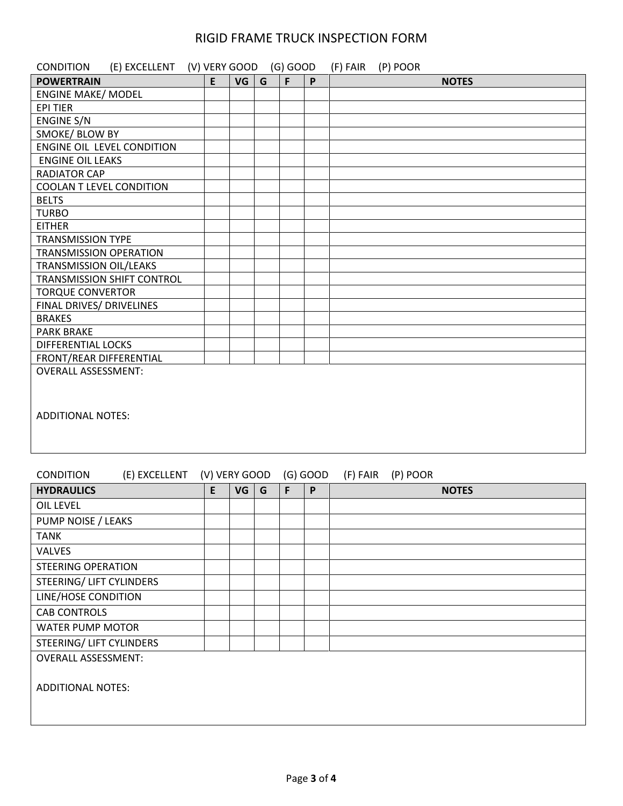| (E) EXCELLENT (V) VERY GOOD (G) GOOD<br><b>CONDITION</b> |   |          |   |   | (F) FAIR (P) POOR |
|----------------------------------------------------------|---|----------|---|---|-------------------|
| <b>POWERTRAIN</b>                                        | E | $VG$ $G$ | F | P | <b>NOTES</b>      |
| <b>ENGINE MAKE/ MODEL</b>                                |   |          |   |   |                   |
| <b>EPI TIER</b>                                          |   |          |   |   |                   |
| <b>ENGINE S/N</b>                                        |   |          |   |   |                   |
| SMOKE/ BLOW BY                                           |   |          |   |   |                   |
| ENGINE OIL LEVEL CONDITION                               |   |          |   |   |                   |
| <b>ENGINE OIL LEAKS</b>                                  |   |          |   |   |                   |
| <b>RADIATOR CAP</b>                                      |   |          |   |   |                   |
| <b>COOLAN T LEVEL CONDITION</b>                          |   |          |   |   |                   |
| <b>BELTS</b>                                             |   |          |   |   |                   |
| <b>TURBO</b>                                             |   |          |   |   |                   |
| <b>EITHER</b>                                            |   |          |   |   |                   |
| <b>TRANSMISSION TYPE</b>                                 |   |          |   |   |                   |
| <b>TRANSMISSION OPERATION</b>                            |   |          |   |   |                   |
| TRANSMISSION OIL/LEAKS                                   |   |          |   |   |                   |
| TRANSMISSION SHIFT CONTROL                               |   |          |   |   |                   |
| <b>TORQUE CONVERTOR</b>                                  |   |          |   |   |                   |
| FINAL DRIVES/ DRIVELINES                                 |   |          |   |   |                   |
| <b>BRAKES</b>                                            |   |          |   |   |                   |
| <b>PARK BRAKE</b>                                        |   |          |   |   |                   |
| <b>DIFFERENTIAL LOCKS</b>                                |   |          |   |   |                   |
| FRONT/REAR DIFFERENTIAL                                  |   |          |   |   |                   |
| <b>OVERALL ASSESSMENT:</b>                               |   |          |   |   |                   |
|                                                          |   |          |   |   |                   |
|                                                          |   |          |   |   |                   |
| <b>ADDITIONAL NOTES:</b>                                 |   |          |   |   |                   |
|                                                          |   |          |   |   |                   |
|                                                          |   |          |   |   |                   |
|                                                          |   |          |   |   |                   |

#### CONDITION (E) EXCELLENT (V) VERY GOOD (G) GOOD (F) FAIR (P) POOR

| <b>HYDRAULICS</b>               | E | VG | G | F | P | <b>NOTES</b> |
|---------------------------------|---|----|---|---|---|--------------|
| OIL LEVEL                       |   |    |   |   |   |              |
| PUMP NOISE / LEAKS              |   |    |   |   |   |              |
| <b>TANK</b>                     |   |    |   |   |   |              |
| <b>VALVES</b>                   |   |    |   |   |   |              |
| <b>STEERING OPERATION</b>       |   |    |   |   |   |              |
| STEERING/ LIFT CYLINDERS        |   |    |   |   |   |              |
| LINE/HOSE CONDITION             |   |    |   |   |   |              |
| <b>CAB CONTROLS</b>             |   |    |   |   |   |              |
| <b>WATER PUMP MOTOR</b>         |   |    |   |   |   |              |
| <b>STEERING/ LIFT CYLINDERS</b> |   |    |   |   |   |              |
| <b>OVERALL ASSESSMENT:</b>      |   |    |   |   |   |              |
| <b>ADDITIONAL NOTES:</b>        |   |    |   |   |   |              |